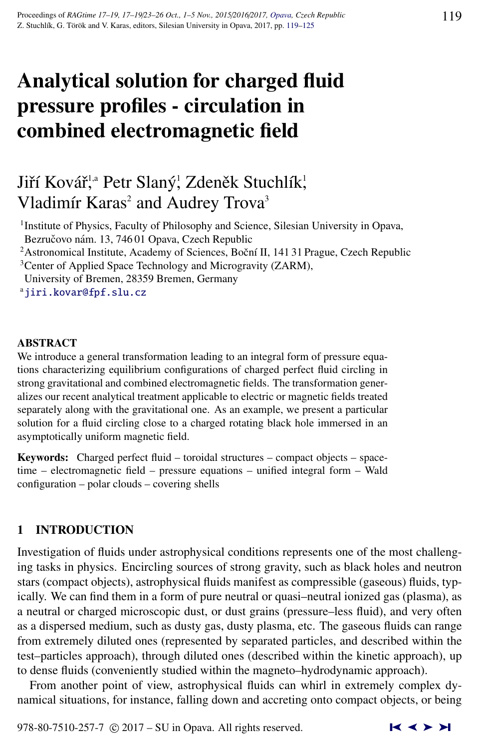# Analytical solution for charged fluid pressure profiles - circulation in combined electromagnetic field

# Jiří Kovář,ª Petr Slaný¦ Zdeněk Stuchlík¦ Vladimír Karas<sup>2</sup> and Audrey Trova<sup>3</sup>

<sup>1</sup> Institute of Physics, Faculty of Philosophy and Science, Silesian University in Opava, Bezručovo nám. 13, 746 01 Opava, Czech Republic

<sup>2</sup> Astronomical Institute, Academy of Sciences, Boční II, 141 31 Prague, Czech Republic <sup>3</sup> Center of Applied Space Technology and Microgravity (ZARM),

University of Bremen, 28359 Bremen, Germany

<sup>a</sup>[jiri.kovar@fpf.slu.cz](http://www.physics.cz/ jiri.kovar@fpf.slu.cz)

#### ABSTRACT

We introduce a general transformation leading to an integral form of pressure equations characterizing equilibrium configurations of charged perfect fluid circling in strong gravitational and combined electromagnetic fields. The transformation generalizes our recent analytical treatment applicable to electric or magnetic fields treated separately along with the gravitational one. As an example, we present a particular solution for a fluid circling close to a charged rotating black hole immersed in an asymptotically uniform magnetic field.

Keywords: Charged perfect fluid – toroidal structures – compact objects – spacetime – electromagnetic field – pressure equations – unified integral form – Wald configuration – polar clouds – covering shells

# 1 INTRODUCTION

Investigation of fluids under astrophysical conditions represents one of the most challenging tasks in physics. Encircling sources of strong gravity, such as black holes and neutron stars (compact objects), astrophysical fluids manifest as compressible (gaseous) fluids, typically. We can find them in a form of pure neutral or quasi–neutral ionized gas (plasma), as a neutral or charged microscopic dust, or dust grains (pressure–less fluid), and very often as a dispersed medium, such as dusty gas, dusty plasma, etc. The gaseous fluids can range from extremely diluted ones (represented by separated particles, and described within the test–particles approach), through diluted ones (described within the kinetic approach), up to dense fluids (conveniently studied within the magneto–hydrodynamic approach).

From another point of view, astrophysical fluids can whirl in extremely complex dynamical situations, for instance, falling down and accreting onto compact objects, or being

978-80-7510-257-7  $\odot$  2017 – SU in Opava. All rights reserved.  $\blacksquare$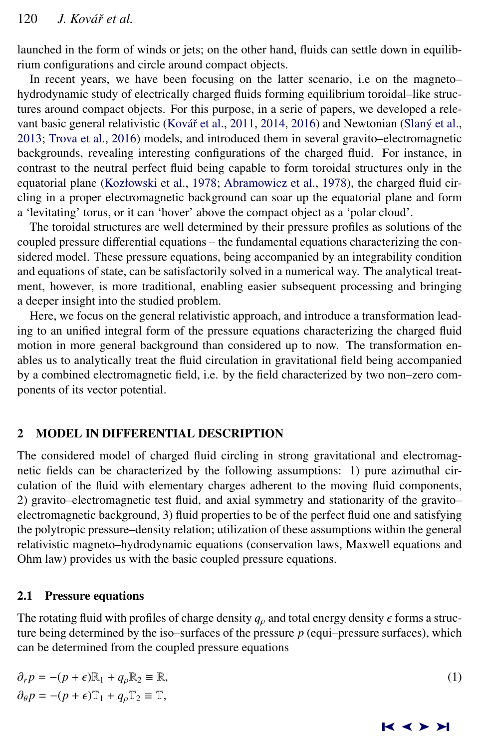<span id="page-1-0"></span>launched in the form of winds or jets; on the other hand, fluids can settle down in equilibrium configurations and circle around compact objects.

In recent years, we have been focusing on the latter scenario, i.e on the magneto– hydrodynamic study of electrically charged fluids forming equilibrium toroidal–like structures around compact objects. For this purpose, in a serie of papers, we developed a rele-vant basic general relativistic (Kovář et al., [2011,](#page-6-0) [2014,](#page-6-0) [2016\)](#page-6-0) and Newtonian (Slaný et al., [2013;](#page-6-0) [Trova et al.,](#page-6-0) [2016\)](#page-6-0) models, and introduced them in several gravito–electromagnetic backgrounds, revealing interesting configurations of the charged fluid. For instance, in contrast to the neutral perfect fluid being capable to form toroidal structures only in the equatorial plane [\(Kozłowski et al.,](#page-6-0) [1978;](#page-6-0) [Abramowicz et al.,](#page-6-0) [1978\)](#page-6-0), the charged fluid circling in a proper electromagnetic background can soar up the equatorial plane and form a 'levitating' torus, or it can 'hover' above the compact object as a 'polar cloud'.

The toroidal structures are well determined by their pressure profiles as solutions of the coupled pressure differential equations – the fundamental equations characterizing the considered model. These pressure equations, being accompanied by an integrability condition and equations of state, can be satisfactorily solved in a numerical way. The analytical treatment, however, is more traditional, enabling easier subsequent processing and bringing a deeper insight into the studied problem.

Here, we focus on the general relativistic approach, and introduce a transformation leading to an unified integral form of the pressure equations characterizing the charged fluid motion in more general background than considered up to now. The transformation enables us to analytically treat the fluid circulation in gravitational field being accompanied by a combined electromagnetic field, i.e. by the field characterized by two non–zero components of its vector potential.

# 2 MODEL IN DIFFERENTIAL DESCRIPTION

The considered model of charged fluid circling in strong gravitational and electromagnetic fields can be characterized by the following assumptions: 1) pure azimuthal circulation of the fluid with elementary charges adherent to the moving fluid components, 2) gravito–electromagnetic test fluid, and axial symmetry and stationarity of the gravito– electromagnetic background, 3) fluid properties to be of the perfect fluid one and satisfying the polytropic pressure–density relation; utilization of these assumptions within the general relativistic magneto–hydrodynamic equations (conservation laws, Maxwell equations and Ohm law) provides us with the basic coupled pressure equations.

#### 2.1 Pressure equations

The rotating fluid with profiles of charge density  $q_\rho$  and total energy density  $\epsilon$  forms a structure being determined by the iso–surfaces of the pressure  $p$  (equi–pressure surfaces), which can be determined from the coupled pressure equations

$$
\partial_r p = -(p + \epsilon) \mathbb{R}_1 + q_\rho \mathbb{R}_2 \equiv \mathbb{R},
$$
  
\n
$$
\partial_\theta p = -(p + \epsilon) \mathbb{T}_1 + q_\rho \mathbb{T}_2 \equiv \mathbb{T},
$$
\n(1)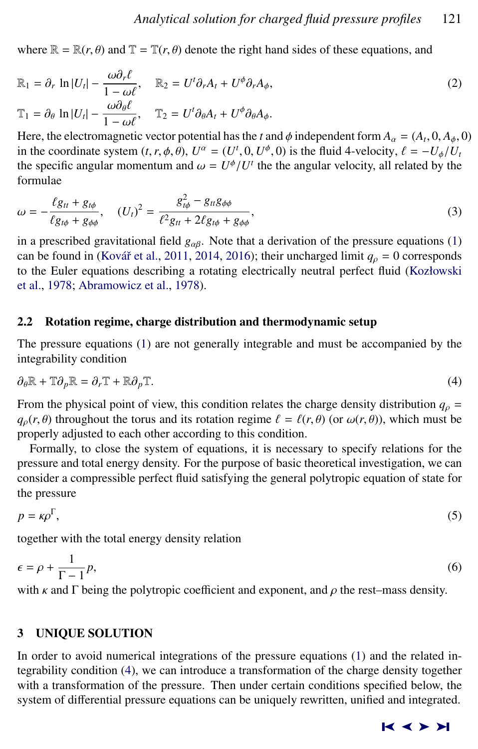<span id="page-2-0"></span>where  $\mathbb{R} = \mathbb{R}(r, \theta)$  and  $\mathbb{T} = \mathbb{T}(r, \theta)$  denote the right hand sides of these equations, and

$$
\mathbb{R}_1 = \partial_r \ln |U_t| - \frac{\omega \partial_r \ell}{1 - \omega \ell}, \qquad \mathbb{R}_2 = U^t \partial_r A_t + U^\phi \partial_r A_\phi,
$$
\n
$$
\mathbb{T}_1 = \partial_\theta \ln |U_t| - \frac{\omega \partial_\theta \ell}{1 - \omega \ell}, \qquad \mathbb{T}_2 = U^t \partial_\theta A_t + U^\phi \partial_\theta A_\phi.
$$
\nHere the electromagnetic vector potential has the *t* and  $\phi$  independent form  $A = (A, 0, A, C)$ .

Here, the electromagnetic vector potential has the *t* and  $\phi$  independent form  $A_\alpha = (A_t \cdot \hat{\phi})$  is the fluid 4-velocity  $\hat{f} = -\frac{1}{2}$  $(0, A_{\phi}, 0)$ <br>*-U<sub>L</sub>IU* in the coordinate system  $(t, r, \phi, \theta)$ ,  $U^{\alpha} = (U^t, 0, U^{\phi}, 0)$  is the fluid 4-velocity,  $\ell = -U_{\phi}/U_t$ <br>the specific apgular momentum and  $\omega = U^{\phi}/U^t$  the the apgular velocity, all related by the the specific angular momentum and  $\omega = U^{\phi}/U^t$  the the angular velocity, all related by the formulae formulae

$$
\omega = -\frac{\ell g_{tt} + g_{t\phi}}{\ell g_{t\phi} + g_{\phi\phi}}, \quad (U_t)^2 = \frac{g_{t\phi}^2 - g_{tt}g_{\phi\phi}}{\ell^2 g_{tt} + 2\ell g_{t\phi} + g_{\phi\phi}},
$$
(3)

in a prescribed gravitational field  $g_{\alpha\beta}$ . Note that a derivation of the pressure equations [\(1\)](#page-1-0) can be found in (Kovář et al., [2011,](#page-6-0) [2014,](#page-6-0) [2016\)](#page-6-0); their uncharged limit  $q_\rho = 0$  corresponds to the Euler equations describing a rotating electrically neutral perfect fluid [\(Kozłowski](#page-6-0) [et al.,](#page-6-0) [1978;](#page-6-0) [Abramowicz et al.,](#page-6-0) [1978\)](#page-6-0).

#### 2.2 Rotation regime, charge distribution and thermodynamic setup

The pressure equations [\(1\)](#page-1-0) are not generally integrable and must be accompanied by the integrability condition

$$
\partial_{\theta} \mathbb{R} + \mathbb{T} \partial_{p} \mathbb{R} = \partial_{r} \mathbb{T} + \mathbb{R} \partial_{p} \mathbb{T}.
$$
\n(4)

From the physical point of view, this condition relates the charge density distribution  $q_\rho$  =  $q_{\rho}(r, \theta)$  throughout the torus and its rotation regime  $\ell = \ell(r, \theta)$  (or  $\omega(r, \theta)$ ), which must be properly adjusted to each other according to this condition.

Formally, to close the system of equations, it is necessary to specify relations for the pressure and total energy density. For the purpose of basic theoretical investigation, we can consider a compressible perfect fluid satisfying the general polytropic equation of state for the pressure

$$
p = \kappa \rho^{\Gamma},\tag{5}
$$

together with the total energy density relation

$$
\epsilon = \rho + \frac{1}{\Gamma - 1} p,\tag{6}
$$

with  $\kappa$  and  $\Gamma$  being the polytropic coefficient and exponent, and  $\rho$  the rest–mass density.

# 3 UNIQUE SOLUTION

In order to avoid numerical integrations of the pressure equations [\(1\)](#page-1-0) and the related integrability condition (4), we can introduce a transformation of the charge density together with a transformation of the pressure. Then under certain conditions specified below, the system of differential pressure equations can be uniquely rewritten, unified and integrated.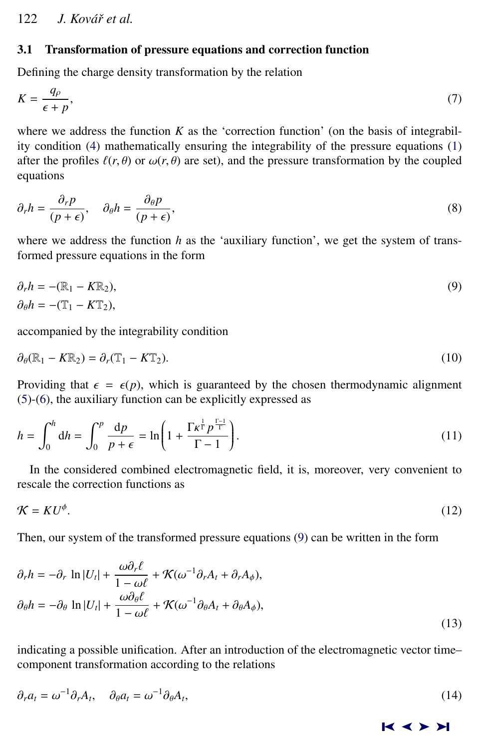# <span id="page-3-0"></span>3.1 Transformation of pressure equations and correction function

Defining the charge density transformation by the relation

$$
K = \frac{q_{\rho}}{\epsilon + p},\tag{7}
$$

where we address the function  $K$  as the 'correction function' (on the basis of integrability condition [\(4\)](#page-2-0) mathematically ensuring the integrability of the pressure equations [\(1\)](#page-1-0) after the profiles  $\ell(r, \theta)$  or  $\omega(r, \theta)$  are set), and the pressure transformation by the coupled equations

$$
\partial_r h = \frac{\partial_r p}{(p+\epsilon)}, \quad \partial_\theta h = \frac{\partial_\theta p}{(p+\epsilon)},\tag{8}
$$

where we address the function  $h$  as the 'auxiliary function', we get the system of transformed pressure equations in the form

$$
\partial_r h = -(\mathbb{R}_1 - K\mathbb{R}_2), \n\partial_\theta h = -(\mathbb{T}_1 - K\mathbb{T}_2),
$$
\n(9)

accompanied by the integrability condition

$$
\partial_{\theta}(\mathbb{R}_1 - K\mathbb{R}_2) = \partial_r(\mathbb{T}_1 - K\mathbb{T}_2). \tag{10}
$$

Providing that  $\epsilon = \epsilon(p)$ , which is guaranteed by the chosen thermodynamic alignment [\(5\)](#page-2-0)-[\(6\)](#page-2-0), the auxiliary function can be explicitly expressed as

$$
h = \int_0^h dh = \int_0^p \frac{dp}{p + \epsilon} = \ln\left(1 + \frac{\Gamma \kappa^{\frac{1}{\Gamma}} p^{\frac{\Gamma - 1}{\Gamma}}}{\Gamma - 1}\right).
$$
\n(11)

In the considered combined electromagnetic field, it is, moreover, very convenient to rescale the correction functions as

$$
\mathcal{K} = K U^{\phi}.\tag{12}
$$

Then, our system of the transformed pressure equations (9) can be written in the form

$$
\partial_r h = -\partial_r \ln |U_t| + \frac{\omega \partial_r \ell}{1 - \omega \ell} + \mathcal{K}(\omega^{-1} \partial_r A_t + \partial_r A_\phi),
$$
  
\n
$$
\partial_\theta h = -\partial_\theta \ln |U_t| + \frac{\omega \partial_\theta \ell}{1 - \omega \ell} + \mathcal{K}(\omega^{-1} \partial_\theta A_t + \partial_\theta A_\phi),
$$
\n(13)

indicating a possible unification. After an introduction of the electromagnetic vector time– component transformation according to the relations

$$
\partial_r a_t = \omega^{-1} \partial_r A_t, \quad \partial_\theta a_t = \omega^{-1} \partial_\theta A_t,\tag{14}
$$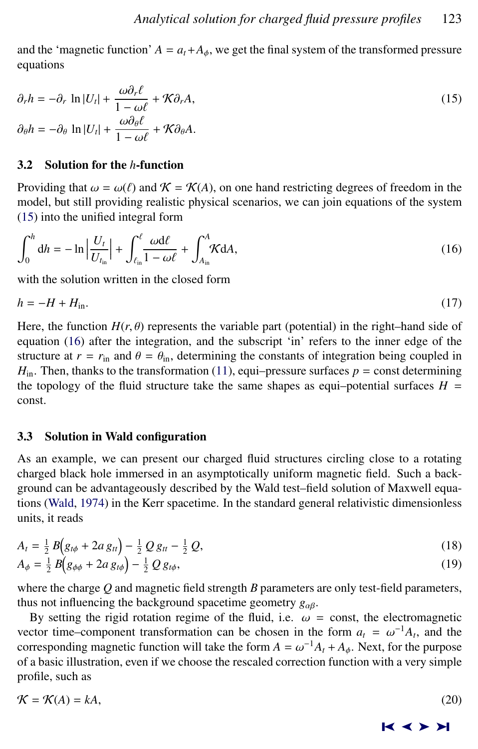<span id="page-4-0"></span>and the 'magnetic function'  $A = a_t + A_\phi$ , we get the final system of the transformed pressure equations

$$
\partial_r h = -\partial_r \ln |U_t| + \frac{\omega \partial_r \ell}{1 - \omega \ell} + \mathcal{K} \partial_r A,
$$
  
\n
$$
\partial_\theta h = -\partial_\theta \ln |U_t| + \frac{\omega \partial_\theta \ell}{1 - \omega \ell} + \mathcal{K} \partial_\theta A.
$$
\n(15)

#### 3.2 Solution for the *h*-function

Providing that  $\omega = \omega(\ell)$  and  $\mathcal{K} = \mathcal{K}(A)$ , on one hand restricting degrees of freedom in the model, but still providing realistic physical scenarios, we can join equations of the system (15) into the unified integral form

$$
\int_0^h dh = -\ln \left| \frac{U_t}{U_{t_{\rm in}}} \right| + \int_{\ell_{\rm in}}^{\ell} \frac{\omega d\ell}{1 - \omega \ell} + \int_{A_{\rm in}}^A \mathcal{K} dA,\tag{16}
$$

with the solution written in the closed form

$$
h = -H + H_{\rm in}.\tag{17}
$$

Here, the function  $H(r, \theta)$  represents the variable part (potential) in the right–hand side of equation (16) after the integration, and the subscript 'in' refers to the inner edge of the structure at  $r = r_{\text{in}}$  and  $\theta = \theta_{\text{in}}$ , determining the constants of integration being coupled in  $H_{in}$ . Then, thanks to the transformation [\(11\)](#page-3-0), equi–pressure surfaces  $p =$  const determining the topology of the fluid structure take the same shapes as equi–potential surfaces  $H =$ const.

# 3.3 Solution in Wald configuration

As an example, we can present our charged fluid structures circling close to a rotating charged black hole immersed in an asymptotically uniform magnetic field. Such a background can be advantageously described by the Wald test–field solution of Maxwell equations [\(Wald,](#page-6-0) [1974\)](#page-6-0) in the Kerr spacetime. In the standard general relativistic dimensionless units, it reads

$$
A_{t} = \frac{1}{2} B(g_{t\phi} + 2a g_{tt}) - \frac{1}{2} Q g_{tt} - \frac{1}{2} Q,
$$
  
\n
$$
A_{\phi} = \frac{1}{2} B(g_{\phi\phi} + 2a g_{t\phi}) - \frac{1}{2} Q g_{t\phi},
$$
\n(19)

where the charge *Q* and magnetic field strength *B* parameters are only test-field parameters, thus not influencing the background spacetime geometry  $g_{\alpha\beta}$ .

By setting the rigid rotation regime of the fluid, i.e.  $\omega$  = const, the electromagnetic vector time–component transformation can be chosen in the form  $a_t = \omega^{-1}A_t$ , and the corresponding magnetic function will take the form  $A = \omega^{-1}A + A$ . Next, for the nurpose corresponding magnetic function will take the form  $A = \omega^{-1}A_t + A_\phi$ . Next, for the purpose of a basic illustration even if we choose the rescaled correction function with a very simple of a basic illustration, even if we choose the rescaled correction function with a very simple profile, such as

$$
\mathcal{K} = \mathcal{K}(A) = kA,\tag{20}
$$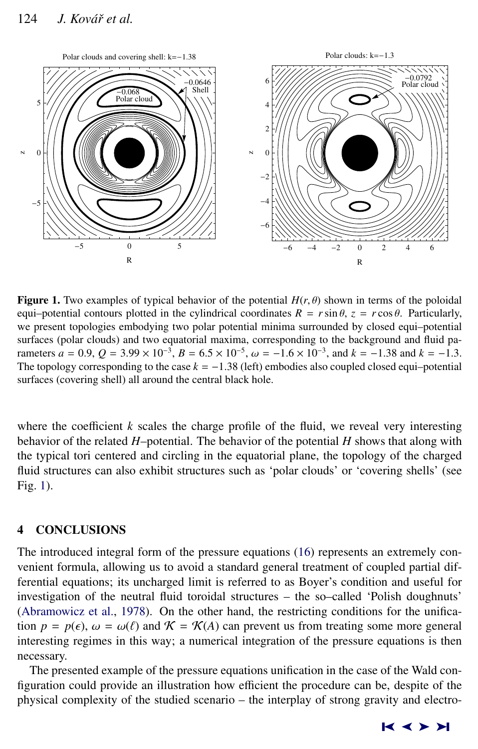# 124 *J. Kovář et al.*



**Figure 1.** Two examples of typical behavior of the potential  $H(r, \theta)$  shown in terms of the poloidal equi–potential contours plotted in the cylindrical coordinates  $R = r \sin \theta$ ,  $z = r \cos \theta$ . Particularly, we present topologies embodying two polar potential minima surrounded by closed equi–potential surfaces (polar clouds) and two equatorial maxima, corresponding to the background and fluid parameters  $a = 0.9$ ,  $Q = 3.99 \times 10^{-3}$ ,  $B = 6.5 \times 10^{-5}$ ,  $\omega = -1.6 \times 10^{-3}$ , and  $k = -1.38$  and  $k = -1.3$ .<br>The topology corresponding to the case  $k = -1.38$  (left) embodies also counted closed equippetential The topology corresponding to the case  $k = -1.38$  (left) embodies also coupled closed equi–potential surfaces (covering shell) all around the central black hole.

where the coefficient  $k$  scales the charge profile of the fluid, we reveal very interesting behavior of the related *H*–potential. The behavior of the potential *H* shows that along with the typical tori centered and circling in the equatorial plane, the topology of the charged fluid structures can also exhibit structures such as 'polar clouds' or 'covering shells' (see Fig. 1).

### 4 CONCLUSIONS

The introduced integral form of the pressure equations [\(16\)](#page-4-0) represents an extremely convenient formula, allowing us to avoid a standard general treatment of coupled partial differential equations; its uncharged limit is referred to as Boyer's condition and useful for investigation of the neutral fluid toroidal structures – the so–called 'Polish doughnuts' [\(Abramowicz et al.,](#page-6-0) [1978\)](#page-6-0). On the other hand, the restricting conditions for the unification  $p = p(\epsilon)$ ,  $\omega = \omega(\ell)$  and  $\mathcal{K} = \mathcal{K}(A)$  can prevent us from treating some more general interesting regimes in this way; a numerical integration of the pressure equations is then necessary.

The presented example of the pressure equations unification in the case of the Wald configuration could provide an illustration how efficient the procedure can be, despite of the physical complexity of the studied scenario – the interplay of strong gravity and electro-